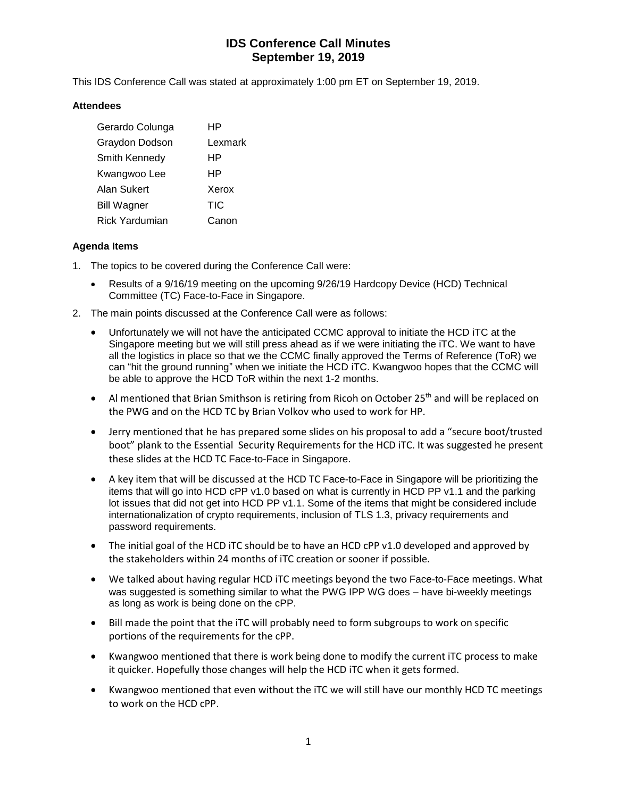# **IDS Conference Call Minutes September 19, 2019**

This IDS Conference Call was stated at approximately 1:00 pm ET on September 19, 2019.

#### **Attendees**

| Gerardo Colunga       | НP      |
|-----------------------|---------|
| Graydon Dodson        | Lexmark |
| Smith Kennedy         | HP      |
| Kwangwoo Lee          | ΗP      |
| Alan Sukert           | Xerox   |
| <b>Bill Wagner</b>    | TIC     |
| <b>Rick Yardumian</b> | Canon   |

#### **Agenda Items**

- 1. The topics to be covered during the Conference Call were:
	- Results of a 9/16/19 meeting on the upcoming 9/26/19 Hardcopy Device (HCD) Technical Committee (TC) Face-to-Face in Singapore.
- 2. The main points discussed at the Conference Call were as follows:
	- Unfortunately we will not have the anticipated CCMC approval to initiate the HCD iTC at the Singapore meeting but we will still press ahead as if we were initiating the iTC. We want to have all the logistics in place so that we the CCMC finally approved the Terms of Reference (ToR) we can "hit the ground running" when we initiate the HCD iTC. Kwangwoo hopes that the CCMC will be able to approve the HCD ToR within the next 1-2 months.
	- Al mentioned that Brian Smithson is retiring from Ricoh on October 25<sup>th</sup> and will be replaced on the PWG and on the HCD TC by Brian Volkov who used to work for HP.
	- Jerry mentioned that he has prepared some slides on his proposal to add a "secure boot/trusted boot" plank to the Essential Security Requirements for the HCD iTC. It was suggested he present these slides at the HCD TC Face-to-Face in Singapore.
	- A key item that will be discussed at the HCD TC Face-to-Face in Singapore will be prioritizing the items that will go into HCD cPP v1.0 based on what is currently in HCD PP v1.1 and the parking lot issues that did not get into HCD PP v1.1. Some of the items that might be considered include internationalization of crypto requirements, inclusion of TLS 1.3, privacy requirements and password requirements.
	- The initial goal of the HCD iTC should be to have an HCD cPP v1.0 developed and approved by the stakeholders within 24 months of iTC creation or sooner if possible.
	- We talked about having regular HCD iTC meetings beyond the two Face-to-Face meetings. What was suggested is something similar to what the PWG IPP WG does – have bi-weekly meetings as long as work is being done on the cPP.
	- Bill made the point that the iTC will probably need to form subgroups to work on specific portions of the requirements for the cPP.
	- Kwangwoo mentioned that there is work being done to modify the current iTC process to make it quicker. Hopefully those changes will help the HCD iTC when it gets formed.
	- Kwangwoo mentioned that even without the iTC we will still have our monthly HCD TC meetings to work on the HCD cPP.